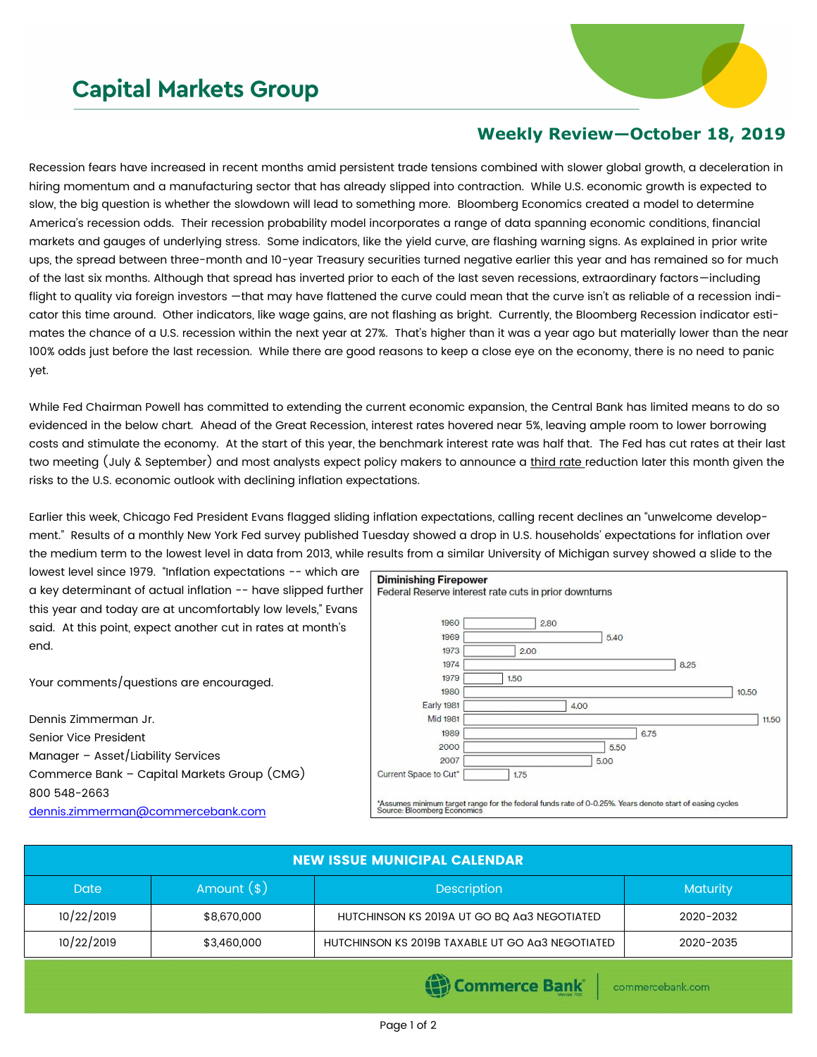## **Capital Markets Group**



## **Weekly Review—October 18, 2019**

Recession fears have increased in recent months amid persistent trade tensions combined with slower global growth, a deceleration in hiring momentum and a manufacturing sector that has already slipped into contraction. While U.S. economic growth is expected to slow, the big question is whether the slowdown will lead to something more. Bloomberg Economics created a model to determine America's recession odds. Their recession probability model incorporates a range of data spanning economic conditions, financial markets and gauges of underlying stress. Some indicators, like the yield curve, are flashing warning signs. As explained in prior write ups, the spread between three-month and 10-year Treasury securities turned negative earlier this year and has remained so for much of the last six months. Although that spread has inverted prior to each of the last seven recessions, extraordinary factors—including flight to quality via foreign investors —that may have flattened the curve could mean that the curve isn't as reliable of a recession indicator this time around. Other indicators, like wage gains, are not flashing as bright. Currently, the Bloomberg Recession indicator estimates the chance of a U.S. recession within the next year at 27%. That's higher than it was a year ago but materially lower than the near 100% odds just before the last recession. While there are good reasons to keep a close eye on the economy, there is no need to panic yet.

While Fed Chairman Powell has committed to extending the current economic expansion, the Central Bank has limited means to do so evidenced in the below chart. Ahead of the Great Recession, interest rates hovered near 5%, leaving ample room to lower borrowing costs and stimulate the economy. At the start of this year, the benchmark interest rate was half that. The Fed has cut rates at their last two meeting (July & September) and most analysts expect policy makers to announce a third rate reduction later this month given the risks to the U.S. economic outlook with declining inflation expectations.

Earlier this week, Chicago Fed President Evans flagged sliding inflation expectations, calling recent declines an "unwelcome development." Results of a monthly New York Fed survey published Tuesday showed a drop in U.S. households' expectations for inflation over the medium term to the lowest level in data from 2013, while results from a similar University of Michigan survey showed a slide to the

lowest level since 1979. "Inflation expectations -- which are a key determinant of actual inflation -- have slipped further this year and today are at uncomfortably low levels," Evans said. At this point, expect another cut in rates at month's end.

Your comments/questions are encouraged.

Dennis Zimmerman Jr. Senior Vice President Manager – Asset/Liability Services Commerce Bank – Capital Markets Group (CMG) 800 548-2663 [dennis.zimmerman@commercebank.com](mailto:dennis.zimmerman@commercebank.com)

| <b>Diminishing Firepower</b>                                                                                                            |      |      |       |       |
|-----------------------------------------------------------------------------------------------------------------------------------------|------|------|-------|-------|
| Federal Reserve interest rate cuts in prior downturns                                                                                   |      |      |       |       |
|                                                                                                                                         |      |      |       |       |
| 1960                                                                                                                                    | 2.80 |      |       |       |
| 1969                                                                                                                                    |      | 5.40 |       |       |
| 1973                                                                                                                                    | 2.00 |      |       |       |
| 1974                                                                                                                                    |      |      | 8.25  |       |
| 1979                                                                                                                                    | 1.50 |      |       |       |
| 1980                                                                                                                                    |      |      | 10.50 |       |
| Early 1981                                                                                                                              | 4.00 |      |       |       |
| <b>Mid 1981</b>                                                                                                                         |      |      |       | 11.50 |
| 1989                                                                                                                                    |      | 6.75 |       |       |
| 2000                                                                                                                                    |      | 5.50 |       |       |
| 2007                                                                                                                                    |      | 5.00 |       |       |
| Current Space to Cut*                                                                                                                   | 1.75 |      |       |       |
|                                                                                                                                         |      |      |       |       |
| *Assumes minimum target range for the federal funds rate of 0-0.25%. Years denote start of easing cycles<br>Source: Bloomberg Economics |      |      |       |       |

| <b>NEW ISSUE MUNICIPAL CALENDAR</b> |             |                                                  |                 |  |  |
|-------------------------------------|-------------|--------------------------------------------------|-----------------|--|--|
| Amount $(*)$<br><b>Date</b>         |             | <b>Description</b>                               | <b>Maturity</b> |  |  |
| 10/22/2019                          | \$8,670,000 | HUTCHINSON KS 2019A UT GO BQ AG3 NEGOTIATED      | 2020-2032       |  |  |
| 10/22/2019                          | \$3,460,000 | HUTCHINSON KS 2019B TAXABLE UT GO AG3 NEGOTIATED | 2020-2035       |  |  |

Commerce Bank

commercebank.com